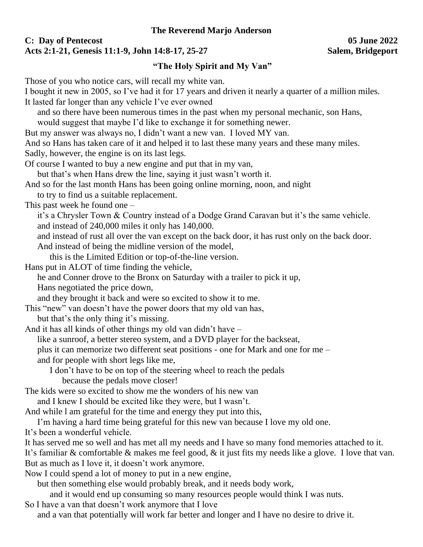## **C: Day of Pentecost 05 June 2022 Acts 2:1-21, Genesis 11:1-9, John 14:8-17, 25-27 Salem, Bridgeport**

## **"The Holy Spirit and My Van"**

Those of you who notice cars, will recall my white van.

I bought it new in 2005, so I've had it for 17 years and driven it nearly a quarter of a million miles. It lasted far longer than any vehicle I've ever owned and so there have been numerous times in the past when my personal mechanic, son Hans, would suggest that maybe I'd like to exchange it for something newer. But my answer was always no, I didn't want a new van. I loved MY van. And so Hans has taken care of it and helped it to last these many years and these many miles. Sadly, however, the engine is on its last legs. Of course I wanted to buy a new engine and put that in my van, but that's when Hans drew the line, saying it just wasn't worth it. And so for the last month Hans has been going online morning, noon, and night to try to find us a suitable replacement. This past week he found one – it's a Chrysler Town & Country instead of a Dodge Grand Caravan but it's the same vehicle. and instead of 240,000 miles it only has 140,000. and instead of rust all over the van except on the back door, it has rust only on the back door. And instead of being the midline version of the model, this is the Limited Edition or top-of-the-line version. Hans put in ALOT of time finding the vehicle, he and Conner drove to the Bronx on Saturday with a trailer to pick it up, Hans negotiated the price down, and they brought it back and were so excited to show it to me. This "new" van doesn't have the power doors that my old van has, but that's the only thing it's missing. And it has all kinds of other things my old van didn't have – like a sunroof, a better stereo system, and a DVD player for the backseat, plus it can memorize two different seat positions - one for Mark and one for me – and for people with short legs like me, I don't have to be on top of the steering wheel to reach the pedals because the pedals move closer! The kids were so excited to show me the wonders of his new van and I knew I should be excited like they were, but I wasn't. And while l am grateful for the time and energy they put into this, I'm having a hard time being grateful for this new van because I love my old one. It's been a wonderful vehicle. It has served me so well and has met all my needs and I have so many fond memories attached to it. It's familiar & comfortable & makes me feel good, & it just fits my needs like a glove. I love that van. But as much as I love it, it doesn't work anymore. Now I could spend a lot of money to put in a new engine,

but then something else would probably break, and it needs body work,

and it would end up consuming so many resources people would think I was nuts.

So I have a van that doesn't work anymore that I love and a van that potentially will work far better and longer and I have no desire to drive it.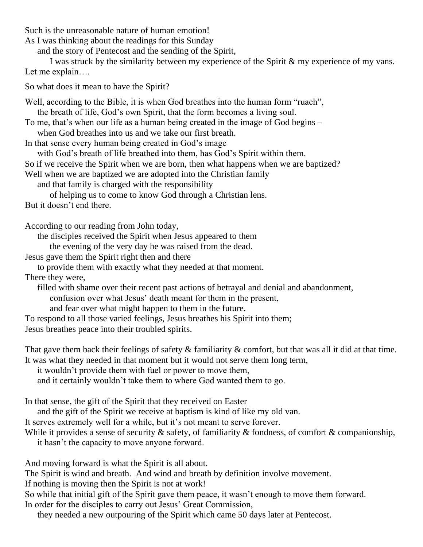Such is the unreasonable nature of human emotion!

As I was thinking about the readings for this Sunday

and the story of Pentecost and the sending of the Spirit,

I was struck by the similarity between my experience of the Spirit & my experience of my vans. Let me explain….

So what does it mean to have the Spirit?

Well, according to the Bible, it is when God breathes into the human form "ruach", the breath of life, God's own Spirit, that the form becomes a living soul.

To me, that's when our life as a human being created in the image of God begins –

when God breathes into us and we take our first breath.

In that sense every human being created in God's image

with God's breath of life breathed into them, has God's Spirit within them.

So if we receive the Spirit when we are born, then what happens when we are baptized?

Well when we are baptized we are adopted into the Christian family

and that family is charged with the responsibility

of helping us to come to know God through a Christian lens. But it doesn't end there.

According to our reading from John today,

the disciples received the Spirit when Jesus appeared to them

the evening of the very day he was raised from the dead.

Jesus gave them the Spirit right then and there

to provide them with exactly what they needed at that moment.

There they were,

filled with shame over their recent past actions of betrayal and denial and abandonment,

confusion over what Jesus' death meant for them in the present,

and fear over what might happen to them in the future.

To respond to all those varied feelings, Jesus breathes his Spirit into them;

Jesus breathes peace into their troubled spirits.

That gave them back their feelings of safety & familiarity & comfort, but that was all it did at that time. It was what they needed in that moment but it would not serve them long term,

it wouldn't provide them with fuel or power to move them,

and it certainly wouldn't take them to where God wanted them to go.

In that sense, the gift of the Spirit that they received on Easter

and the gift of the Spirit we receive at baptism is kind of like my old van.

It serves extremely well for a while, but it's not meant to serve forever.

While it provides a sense of security  $\&$  safety, of familiarity  $\&$  fondness, of comfort  $\&$  companionship, it hasn't the capacity to move anyone forward.

And moving forward is what the Spirit is all about.

The Spirit is wind and breath. And wind and breath by definition involve movement.

If nothing is moving then the Spirit is not at work!

So while that initial gift of the Spirit gave them peace, it wasn't enough to move them forward. In order for the disciples to carry out Jesus' Great Commission,

they needed a new outpouring of the Spirit which came 50 days later at Pentecost.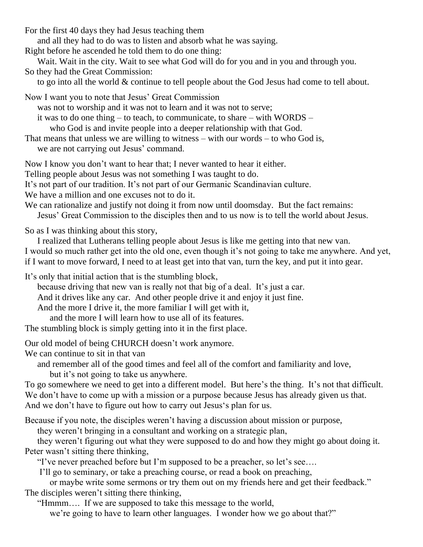For the first 40 days they had Jesus teaching them

and all they had to do was to listen and absorb what he was saying.

Right before he ascended he told them to do one thing:

Wait. Wait in the city. Wait to see what God will do for you and in you and through you. So they had the Great Commission:

to go into all the world & continue to tell people about the God Jesus had come to tell about.

Now I want you to note that Jesus' Great Commission

was not to worship and it was not to learn and it was not to serve;

it was to do one thing – to teach, to communicate, to share – with WORDS –

who God is and invite people into a deeper relationship with that God.

That means that unless we are willing to witness – with our words – to who God is,

we are not carrying out Jesus' command.

Now I know you don't want to hear that; I never wanted to hear it either.

Telling people about Jesus was not something I was taught to do.

It's not part of our tradition. It's not part of our Germanic Scandinavian culture.

We have a million and one excuses not to do it.

We can rationalize and justify not doing it from now until doomsday. But the fact remains: Jesus' Great Commission to the disciples then and to us now is to tell the world about Jesus.

So as I was thinking about this story,

I realized that Lutherans telling people about Jesus is like me getting into that new van. I would so much rather get into the old one, even though it's not going to take me anywhere. And yet, if I want to move forward, I need to at least get into that van, turn the key, and put it into gear.

It's only that initial action that is the stumbling block,

because driving that new van is really not that big of a deal. It's just a car.

And it drives like any car. And other people drive it and enjoy it just fine.

And the more I drive it, the more familiar I will get with it,

and the more I will learn how to use all of its features.

The stumbling block is simply getting into it in the first place.

Our old model of being CHURCH doesn't work anymore.

We can continue to sit in that van

and remember all of the good times and feel all of the comfort and familiarity and love, but it's not going to take us anywhere.

To go somewhere we need to get into a different model. But here's the thing. It's not that difficult. We don't have to come up with a mission or a purpose because Jesus has already given us that. And we don't have to figure out how to carry out Jesus's plan for us.

Because if you note, the disciples weren't having a discussion about mission or purpose,

they weren't bringing in a consultant and working on a strategic plan,

they weren't figuring out what they were supposed to do and how they might go about doing it. Peter wasn't sitting there thinking,

"I've never preached before but I'm supposed to be a preacher, so let's see….

I'll go to seminary, or take a preaching course, or read a book on preaching,

or maybe write some sermons or try them out on my friends here and get their feedback." The disciples weren't sitting there thinking,

"Hmmm…. If we are supposed to take this message to the world,

we're going to have to learn other languages. I wonder how we go about that?"